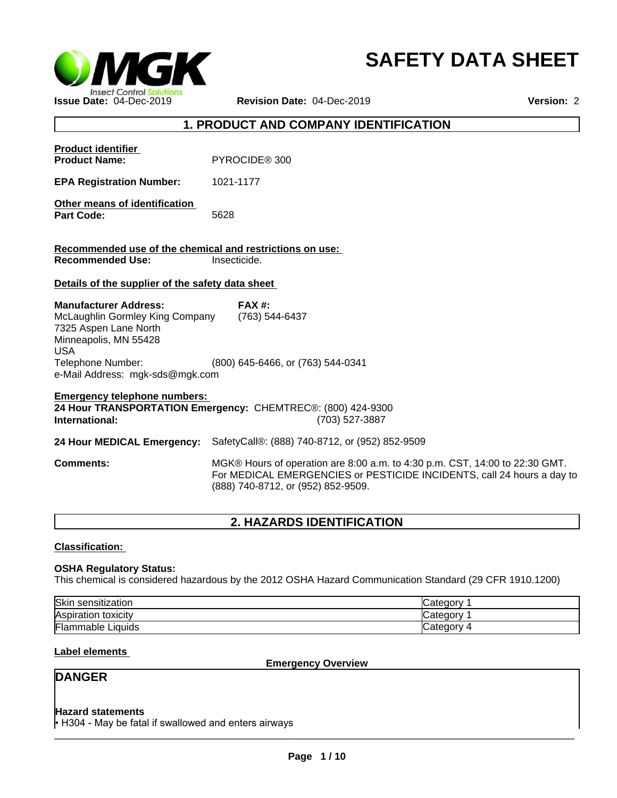

# **SAFETY DATA SHEET**

## **1. PRODUCT AND COMPANY IDENTIFICATION**

| <b>Product identifier</b><br><b>Product Name:</b>                                                                                                    | PYROCIDE <sup>®</sup> 300                                                                                                                                                                   |
|------------------------------------------------------------------------------------------------------------------------------------------------------|---------------------------------------------------------------------------------------------------------------------------------------------------------------------------------------------|
| <b>EPA Registration Number:</b>                                                                                                                      | 1021-1177                                                                                                                                                                                   |
| Other means of identification<br><b>Part Code:</b>                                                                                                   | 5628                                                                                                                                                                                        |
| Recommended use of the chemical and restrictions on use:<br><b>Recommended Use:</b>                                                                  | Insecticide.                                                                                                                                                                                |
| Details of the supplier of the safety data sheet                                                                                                     |                                                                                                                                                                                             |
| <b>Manufacturer Address:</b><br>McLaughlin Gormley King Company<br>7325 Aspen Lane North<br>Minneapolis, MN 55428<br><b>USA</b><br>Telephone Number: | <b>FAX#:</b><br>(763) 544-6437<br>(800) 645-6466, or (763) 544-0341                                                                                                                         |
| e-Mail Address: mgk-sds@mgk.com                                                                                                                      |                                                                                                                                                                                             |
| <b>Emergency telephone numbers:</b><br>International:                                                                                                | 24 Hour TRANSPORTATION Emergency: CHEMTREC®: (800) 424-9300<br>(703) 527-3887                                                                                                               |
| 24 Hour MEDICAL Emergency:                                                                                                                           | SafetyCall®: (888) 740-8712, or (952) 852-9509                                                                                                                                              |
| <b>Comments:</b>                                                                                                                                     | MGK® Hours of operation are 8:00 a.m. to 4:30 p.m. CST, 14:00 to 22:30 GMT.<br>For MEDICAL EMERGENCIES or PESTICIDE INCIDENTS, call 24 hours a day to<br>(888) 740-8712, or (952) 852-9509. |

## **2. HAZARDS IDENTIFICATION**

#### **Classification:**

#### **OSHA Regulatory Status:**

This chemical is considered hazardous by the 2012 OSHA Hazard Communication Standard (29 CFR 1910.1200)

| Skin<br>⊧ sensitization  | Category |
|--------------------------|----------|
| Aspiration toxicity      | Category |
| <b>Flammable Liquids</b> | Category |

#### **Label elements**

**Emergency Overview**

## **DANGER**

#### **Hazard statements**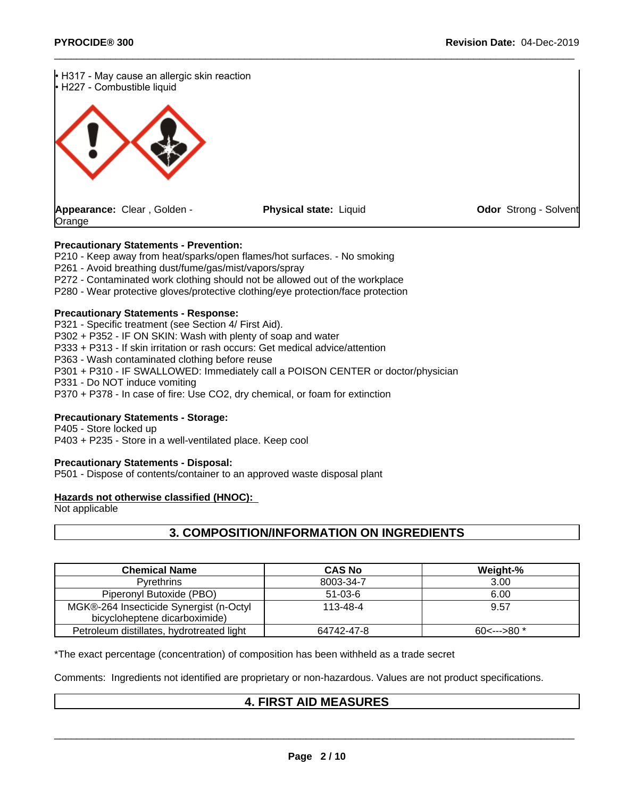

#### **Precautionary Statements - Prevention:**

P210 - Keep away from heat/sparks/open flames/hot surfaces. - No smoking

P261 - Avoid breathing dust/fume/gas/mist/vapors/spray

P272 - Contaminated work clothing should not be allowed out of the workplace

P280 - Wear protective gloves/protective clothing/eye protection/face protection

#### **Precautionary Statements - Response:**

P321 - Specific treatment (see Section 4/ First Aid). P302 + P352 - IF ON SKIN: Wash with plenty of soap and water P333 + P313 - If skin irritation or rash occurs: Get medical advice/attention P363 - Wash contaminated clothing before reuse P301 + P310 - IF SWALLOWED: Immediately call a POISON CENTER or doctor/physician

P331 - Do NOT induce vomiting

P370 + P378 - In case of fire: Use CO2, dry chemical, or foam for extinction

#### **Precautionary Statements - Storage:**

P405 - Store locked up P403 + P235 - Store in a well-ventilated place. Keep cool

#### **Precautionary Statements - Disposal:**

P501 - Dispose of contents/container to an approved waste disposal plant

#### **Hazards not otherwise classified (HNOC):**

Not applicable

## **3. COMPOSITION/INFORMATION ON INGREDIENTS**

| <b>Chemical Name</b>                                                     | <b>CAS No</b> | Weight-%         |
|--------------------------------------------------------------------------|---------------|------------------|
| <b>Pyrethrins</b>                                                        | 8003-34-7     | 3.00             |
| Piperonyl Butoxide (PBO)                                                 | $51-03-6$     | 6.00             |
| MGK®-264 Insecticide Synergist (n-Octyl<br>bicycloheptene dicarboximide) | 113-48-4      | 9.57             |
| Petroleum distillates, hydrotreated light                                | 64742-47-8    | $60$ <--->80 $*$ |

\*The exact percentage (concentration) of composition has been withheld as a trade secret

Comments: Ingredients not identified are proprietary or non-hazardous. Values are not product specifications.

## **4. FIRST AID MEASURES**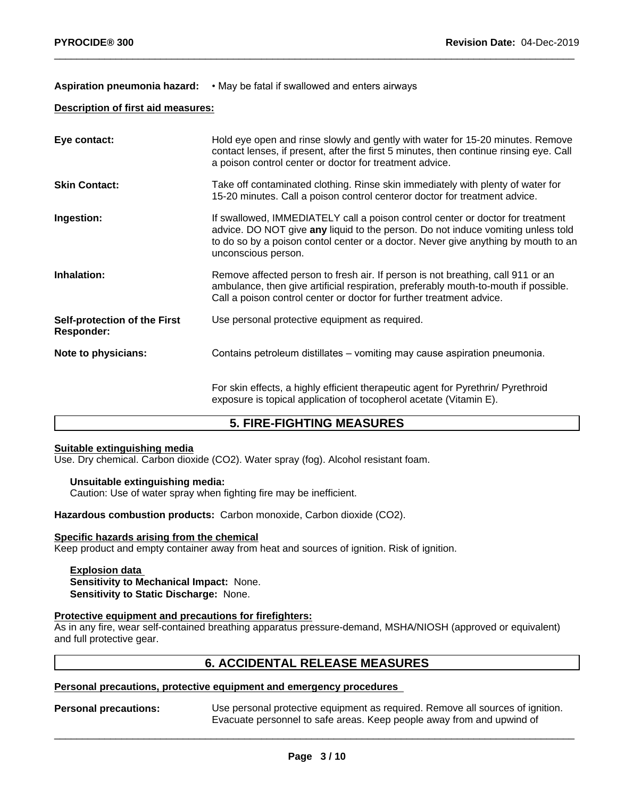#### Aspiration pneumonia hazard: • May be fatal if swallowed and enters airways

#### **Description of first aid measures:**

| Eye contact:                                      | Hold eye open and rinse slowly and gently with water for 15-20 minutes. Remove<br>contact lenses, if present, after the first 5 minutes, then continue rinsing eye. Call<br>a poison control center or doctor for treatment advice.                                             |
|---------------------------------------------------|---------------------------------------------------------------------------------------------------------------------------------------------------------------------------------------------------------------------------------------------------------------------------------|
| <b>Skin Contact:</b>                              | Take off contaminated clothing. Rinse skin immediately with plenty of water for<br>15-20 minutes. Call a poison control centeror doctor for treatment advice.                                                                                                                   |
| Ingestion:                                        | If swallowed, IMMEDIATELY call a poison control center or doctor for treatment<br>advice. DO NOT give any liquid to the person. Do not induce vomiting unless told<br>to do so by a poison contol center or a doctor. Never give anything by mouth to an<br>unconscious person. |
| Inhalation:                                       | Remove affected person to fresh air. If person is not breathing, call 911 or an<br>ambulance, then give artificial respiration, preferably mouth-to-mouth if possible.<br>Call a poison control center or doctor for further treatment advice.                                  |
| Self-protection of the First<br><b>Responder:</b> | Use personal protective equipment as required.                                                                                                                                                                                                                                  |
| Note to physicians:                               | Contains petroleum distillates – vomiting may cause aspiration pneumonia.                                                                                                                                                                                                       |
|                                                   | For skin effects, a highly efficient therapeutic agent for Pyrethrin/ Pyrethroid<br>exposure is topical application of tocopherol acetate (Vitamin E).                                                                                                                          |

## **5. FIRE-FIGHTING MEASURES**

#### **Suitable extinguishing media**

Use. Dry chemical. Carbon dioxide (CO2). Water spray (fog). Alcohol resistant foam.

#### **Unsuitable extinguishing media:**

Caution: Use of water spray when fighting fire may be inefficient.

**Hazardous combustion products:** Carbon monoxide, Carbon dioxide (CO2).

#### **Specific hazards arising from the chemical**

Keep product and empty container away from heat and sources of ignition. Risk of ignition.

#### **Explosion data Sensitivity to Mechanical Impact:** None. **Sensitivity to Static Discharge:** None.

#### **Protective equipment and precautions for firefighters:**

As in any fire, wear self-contained breathing apparatus pressure-demand, MSHA/NIOSH (approved or equivalent) and full protective gear.

## **6. ACCIDENTAL RELEASE MEASURES**

#### **Personal precautions, protective equipment and emergency procedures**

**Personal precautions:** Use personal protective equipment as required. Remove all sources of ignition. Evacuate personnel to safe areas. Keep people away from and upwind of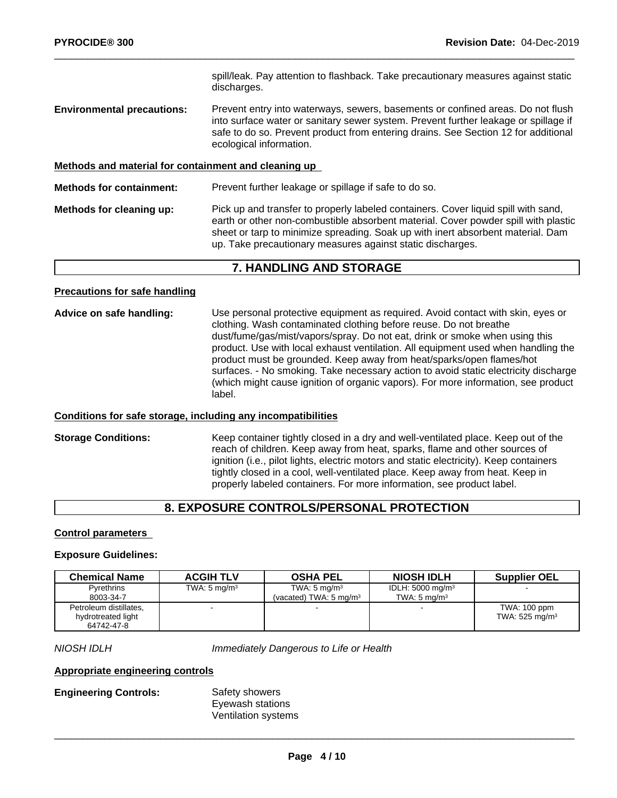spill/leak. Pay attention to flashback. Take precautionary measures against static discharges.

**Environmental precautions:** Prevent entry into waterways, sewers, basements or confined areas. Do not flush into surface water or sanitary sewer system. Prevent further leakage or spillage if safe to do so. Prevent product from entering drains. See Section 12 for additional ecological information.

#### **Methods and material for containment and cleaning up**

**Methods for containment:** Prevent further leakage or spillage if safe to do so. **Methods for cleaning up:** Pick up and transfer to properly labeled containers. Cover liquid spill with sand, earth or other non-combustible absorbent material. Cover powder spill with plastic sheet or tarp to minimize spreading. Soak up with inert absorbent material. Dam

## **7. HANDLING AND STORAGE**

up. Take precautionary measures against static discharges.

#### **Precautions for safe handling**

**Advice on safe handling:** Use personal protective equipment as required.Avoid contact with skin, eyes or clothing. Wash contaminated clothing before reuse. Do not breathe dust/fume/gas/mist/vapors/spray. Do not eat, drink or smoke when using this product. Use with local exhaust ventilation. All equipment used when handling the product must be grounded. Keep away from heat/sparks/open flames/hot surfaces. - No smoking. Take necessary action to avoid static electricity discharge (which might cause ignition of organic vapors). For more information, see product label.

#### **Conditions for safe storage, including any incompatibilities**

**Storage Conditions:** Keep container tightly closed in a dry and well-ventilated place. Keep out of the reach of children. Keep away from heat, sparks, flame and other sources of ignition (i.e., pilot lights, electric motors and static electricity). Keep containers tightly closed in a cool, well-ventilated place. Keep away from heat. Keep in properly labeled containers. For more information, see product label.

## **8. EXPOSURE CONTROLS/PERSONAL PROTECTION**

#### **Control parameters**

#### **Exposure Guidelines:**

| <b>Chemical Name</b>   | <b>ACGIH TLV</b>        | <b>OSHA PEL</b>                    | <b>NIOSH IDLH</b>           | <b>Supplier OEL</b>          |
|------------------------|-------------------------|------------------------------------|-----------------------------|------------------------------|
| Pyrethrins             | TWA: $5 \text{ mg/m}^3$ | TWA: $5 \text{ mg/m}^3$            | IDLH: $5000 \text{ mg/m}^3$ |                              |
| 8003-34-7              |                         | (vacated) TWA: 5 mg/m <sup>3</sup> | TWA: $5 \text{ ma/m}^3$     |                              |
| Petroleum distillates, |                         |                                    | $\sim$                      | TWA: 100 ppm                 |
| hydrotreated light     |                         |                                    |                             | TWA: $525$ mg/m <sup>3</sup> |
| 64742-47-8             |                         |                                    |                             |                              |

*NIOSH IDLH Immediately Dangerous to Life or Health*

#### **Appropriate engineering controls**

## **Engineering Controls:** Safety showers

Eyewash stations Ventilation systems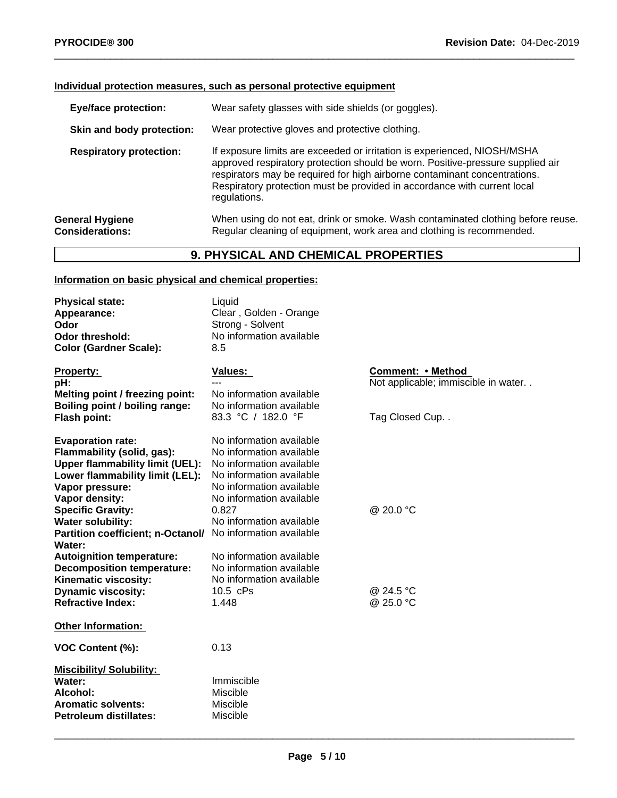#### **Individual protection measures, such as personal protective equipment**

| Wear safety glasses with side shields (or goggles).                                                                                                                                                                                                                                                                                 |
|-------------------------------------------------------------------------------------------------------------------------------------------------------------------------------------------------------------------------------------------------------------------------------------------------------------------------------------|
| Wear protective gloves and protective clothing.                                                                                                                                                                                                                                                                                     |
| If exposure limits are exceeded or irritation is experienced, NIOSH/MSHA<br>approved respiratory protection should be worn. Positive-pressure supplied air<br>respirators may be required for high airborne contaminant concentrations.<br>Respiratory protection must be provided in accordance with current local<br>regulations. |
| When using do not eat, drink or smoke. Wash contaminated clothing before reuse.<br>Regular cleaning of equipment, work area and clothing is recommended.                                                                                                                                                                            |
|                                                                                                                                                                                                                                                                                                                                     |

## **9. PHYSICAL AND CHEMICAL PROPERTIES**

## **Information on basic physical and chemical properties:**

| <b>Physical state:</b><br>Appearance:<br>Odor<br><b>Odor threshold:</b><br><b>Color (Gardner Scale):</b>                                                                                                                                                                                                                                                                                                                                  | Liquid<br>Clear, Golden - Orange<br>Strong - Solvent<br>No information available<br>8.5                                                                                                                                                                                                                                                        |                                                                            |
|-------------------------------------------------------------------------------------------------------------------------------------------------------------------------------------------------------------------------------------------------------------------------------------------------------------------------------------------------------------------------------------------------------------------------------------------|------------------------------------------------------------------------------------------------------------------------------------------------------------------------------------------------------------------------------------------------------------------------------------------------------------------------------------------------|----------------------------------------------------------------------------|
| <b>Property:</b><br>pH:<br>Melting point / freezing point:<br>Boiling point / boiling range:<br>Flash point:                                                                                                                                                                                                                                                                                                                              | Values:<br>---<br>No information available<br>No information available<br>83.3 °C / 182.0 °F                                                                                                                                                                                                                                                   | Comment: • Method<br>Not applicable; immiscible in water<br>Tag Closed Cup |
| <b>Evaporation rate:</b><br>Flammability (solid, gas):<br><b>Upper flammability limit (UEL):</b><br>Lower flammability limit (LEL):<br>Vapor pressure:<br>Vapor density:<br><b>Specific Gravity:</b><br><b>Water solubility:</b><br>Partition coefficient; n-Octanol/<br>Water:<br><b>Autoignition temperature:</b><br><b>Decomposition temperature:</b><br>Kinematic viscosity:<br><b>Dynamic viscosity:</b><br><b>Refractive Index:</b> | No information available<br>No information available<br>No information available<br>No information available<br>No information available<br>No information available<br>0.827<br>No information available<br>No information available<br>No information available<br>No information available<br>No information available<br>10.5 cPs<br>1.448 | @ 20.0 °C<br>@ 24.5 °C<br>@ 25.0 °C                                        |
| <b>Other Information:</b>                                                                                                                                                                                                                                                                                                                                                                                                                 |                                                                                                                                                                                                                                                                                                                                                |                                                                            |
| VOC Content (%):                                                                                                                                                                                                                                                                                                                                                                                                                          | 0.13                                                                                                                                                                                                                                                                                                                                           |                                                                            |
| <b>Miscibility/Solubility:</b><br>Water:<br>Alcohol:<br><b>Aromatic solvents:</b><br><b>Petroleum distillates:</b>                                                                                                                                                                                                                                                                                                                        | Immiscible<br>Miscible<br>Miscible<br>Miscible                                                                                                                                                                                                                                                                                                 |                                                                            |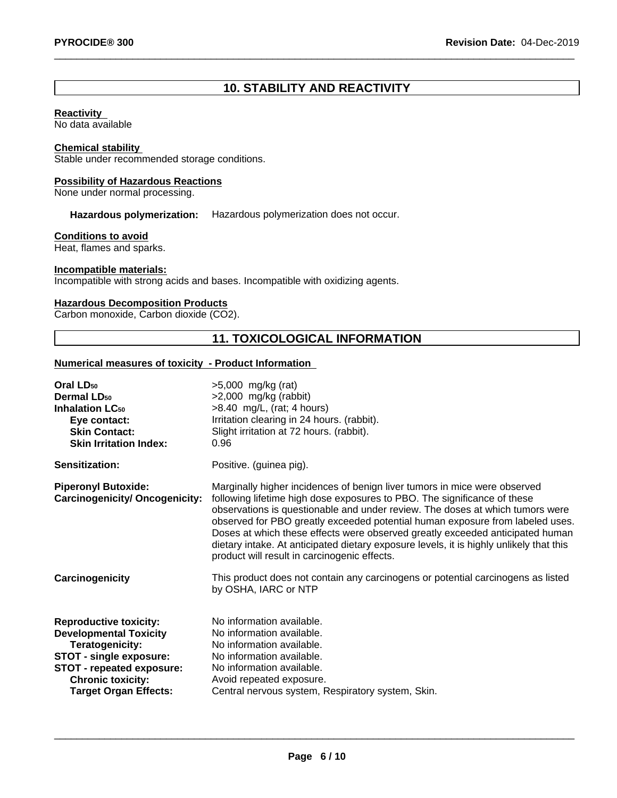# **10. STABILITY AND REACTIVITY**

#### **Reactivity**

No data available

#### **Chemical stability**

Stable under recommended storage conditions.

#### **Possibility of Hazardous Reactions**

None under normal processing.

**Hazardous polymerization:** Hazardous polymerization does not occur.

#### **Conditions to avoid**

Heat, flames and sparks.

#### **Incompatible materials:**

Incompatible with strong acids and bases. Incompatible with oxidizing agents.

#### **Hazardous Decomposition Products**

Carbon monoxide, Carbon dioxide (CO2).

# **11. TOXICOLOGICAL INFORMATION**

#### **Numerical measures of toxicity - Product Information**

| $>5,000$ mg/kg (rat)<br>$>2,000$ mg/kg (rabbit)<br>$>8.40$ mg/L, (rat; 4 hours)<br>Irritation clearing in 24 hours. (rabbit).<br>Slight irritation at 72 hours. (rabbit).<br>0.96                                                                                                                                                                                                                                                                                                                                                                   |
|-----------------------------------------------------------------------------------------------------------------------------------------------------------------------------------------------------------------------------------------------------------------------------------------------------------------------------------------------------------------------------------------------------------------------------------------------------------------------------------------------------------------------------------------------------|
| Positive. (guinea pig).                                                                                                                                                                                                                                                                                                                                                                                                                                                                                                                             |
| Marginally higher incidences of benign liver tumors in mice were observed<br>following lifetime high dose exposures to PBO. The significance of these<br>observations is questionable and under review. The doses at which tumors were<br>observed for PBO greatly exceeded potential human exposure from labeled uses.<br>Doses at which these effects were observed greatly exceeded anticipated human<br>dietary intake. At anticipated dietary exposure levels, it is highly unlikely that this<br>product will result in carcinogenic effects. |
| This product does not contain any carcinogens or potential carcinogens as listed<br>by OSHA, IARC or NTP                                                                                                                                                                                                                                                                                                                                                                                                                                            |
| No information available.<br>No information available.<br>No information available.<br>No information available.<br>No information available.<br>Avoid repeated exposure.<br>Central nervous system, Respiratory system, Skin.                                                                                                                                                                                                                                                                                                                      |
|                                                                                                                                                                                                                                                                                                                                                                                                                                                                                                                                                     |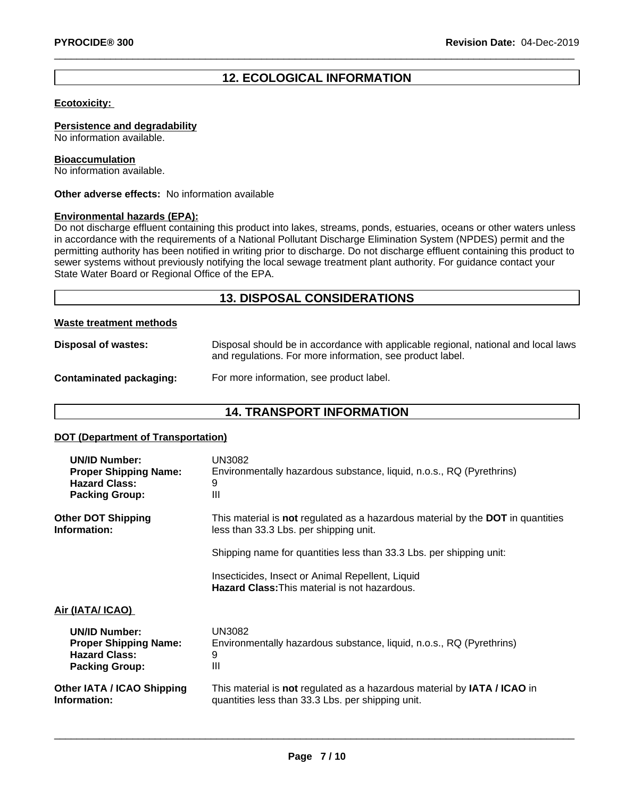## **12. ECOLOGICAL INFORMATION**

#### **Ecotoxicity:**

**Persistence and degradability**

No information available.

#### **Bioaccumulation**

No information available.

**Other adverse effects:** No information available

#### **Environmental hazards (EPA):**

Do not discharge effluent containing this product into lakes, streams, ponds, estuaries, oceans or other waters unless in accordance with the requirements of a National Pollutant Discharge Elimination System (NPDES) permit and the permitting authority has been notified in writing prior to discharge. Do not discharge effluent containing this product to sewer systems without previously notifying the local sewage treatment plant authority. For guidance contact your State Water Board or Regional Office of the EPA.

## **13. DISPOSAL CONSIDERATIONS**

#### **Waste treatment methods**

| Disposal of wastes:     | Disposal should be in accordance with applicable regional, national and local laws<br>and regulations. For more information, see product label. |
|-------------------------|-------------------------------------------------------------------------------------------------------------------------------------------------|
| Contaminated packaging: | For more information, see product label.                                                                                                        |

## **14. TRANSPORT INFORMATION**

#### **DOT (Department of Transportation)**

| <b>UN/ID Number:</b>              | UN3082                                                                                                   |
|-----------------------------------|----------------------------------------------------------------------------------------------------------|
| <b>Proper Shipping Name:</b>      | Environmentally hazardous substance, liquid, n.o.s., RQ (Pyrethrins)                                     |
| <b>Hazard Class:</b>              | 9                                                                                                        |
| <b>Packing Group:</b>             | Ш                                                                                                        |
| <b>Other DOT Shipping</b>         | This material is not regulated as a hazardous material by the DOT in quantities                          |
| Information:                      | less than 33.3 Lbs. per shipping unit.                                                                   |
|                                   | Shipping name for quantities less than 33.3 Lbs. per shipping unit:                                      |
|                                   | Insecticides, Insect or Animal Repellent, Liquid<br><b>Hazard Class: This material is not hazardous.</b> |
| Air (IATA/ ICAO)                  |                                                                                                          |
| <b>UN/ID Number:</b>              | UN3082                                                                                                   |
| <b>Proper Shipping Name:</b>      | Environmentally hazardous substance, liquid, n.o.s., RQ (Pyrethrins)                                     |
| <b>Hazard Class:</b>              | 9                                                                                                        |
| <b>Packing Group:</b>             | Ш                                                                                                        |
| <b>Other IATA / ICAO Shipping</b> | This material is not regulated as a hazardous material by IATA / ICAO in                                 |
| Information:                      | quantities less than 33.3 Lbs. per shipping unit.                                                        |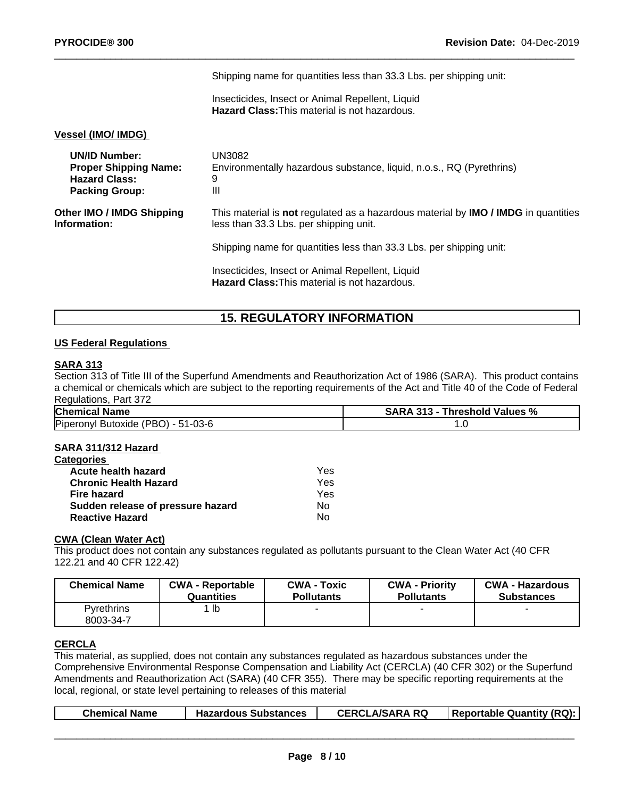|                                                                                                       | Shipping name for quantities less than 33.3 Lbs. per shipping unit:                                                                        |
|-------------------------------------------------------------------------------------------------------|--------------------------------------------------------------------------------------------------------------------------------------------|
|                                                                                                       | Insecticides, Insect or Animal Repellent, Liquid<br><b>Hazard Class: This material is not hazardous.</b>                                   |
| <b>Vessel (IMO/ IMDG)</b>                                                                             |                                                                                                                                            |
| <b>UN/ID Number:</b><br><b>Proper Shipping Name:</b><br><b>Hazard Class:</b><br><b>Packing Group:</b> | UN3082<br>Environmentally hazardous substance, liquid, n.o.s., RQ (Pyrethrins)<br>9<br>Ш                                                   |
| <b>Other IMO / IMDG Shipping</b><br>Information:                                                      | This material is not regulated as a hazardous material by <b>IMO</b> / <b>IMDG</b> in quantities<br>less than 33.3 Lbs. per shipping unit. |
|                                                                                                       | Shipping name for quantities less than 33.3 Lbs. per shipping unit:                                                                        |
|                                                                                                       | Insecticides, Insect or Animal Repellent, Liquid<br><b>Hazard Class: This material is not hazardous.</b>                                   |
|                                                                                                       |                                                                                                                                            |

## **15. REGULATORY INFORMATION**

#### **US Federal Regulations**

#### **SARA 313**

Section 313 of Title III of the Superfund Amendments and Reauthorization Act of 1986 (SARA). This product contains a chemical or chemicals which are subject to the reporting requirements of the Act and Title 40 of the Code of Federal Regulations, Part 372

| <b>Chemical Name</b>                                      | <b>SARA</b><br>l Values %<br>24.2<br><b>Threshold</b><br>د ۱ د |  |
|-----------------------------------------------------------|----------------------------------------------------------------|--|
| Piperonyl<br>(PBO<br>$-03-6$<br>' Butoxide :<br>JI - 51-L | $\cdot\cdot\cdot$                                              |  |

#### **SARA 311/312 Hazard**

| <b>Categories</b>                 |     |  |
|-----------------------------------|-----|--|
| Acute health hazard               | Yes |  |
| <b>Chronic Health Hazard</b>      | Yes |  |
| Fire hazard                       | Yes |  |
| Sudden release of pressure hazard | Nο  |  |
| <b>Reactive Hazard</b>            | No  |  |

## **CWA (Clean Water Act)**

This product does not contain any substances regulated as pollutants pursuant to the Clean Water Act (40 CFR 122.21 and 40 CFR 122.42)

| <b>Chemical Name</b>           | <b>CWA - Reportable</b> | <b>CWA - Toxic</b> | <b>CWA - Priority</b> | <b>CWA - Hazardous</b> |
|--------------------------------|-------------------------|--------------------|-----------------------|------------------------|
|                                | Quantities              | <b>Pollutants</b>  | <b>Pollutants</b>     | <b>Substances</b>      |
| <b>Pyrethrins</b><br>8003-34-7 | lb                      |                    |                       |                        |

## **CERCLA**

This material, as supplied, does not contain any substances regulated as hazardous substances under the Comprehensive Environmental Response Compensation and Liability Act (CERCLA) (40 CFR 302) or the Superfund Amendments and Reauthorization Act (SARA) (40 CFR 355). There may be specific reporting requirements at the local, regional, or state level pertaining to releases of this material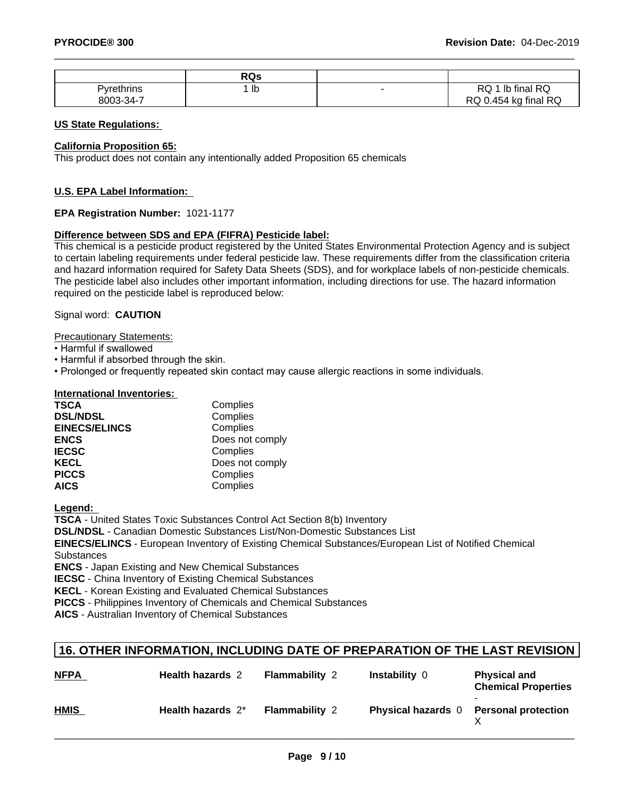|                       | <b>RQs</b> |                                                             |
|-----------------------|------------|-------------------------------------------------------------|
| <b>Tyrethrins</b>     | 1 Ib       | final RQ<br>DO<br>שר<br>טו                                  |
| $.13 - 34 - 7$<br>nnn |            | i final RQ<br>0.45 $\sim$<br>ka<br>$\overline{\phantom{a}}$ |

#### **US State Regulations:**

#### **California Proposition 65:**

This product does not contain any intentionally added Proposition 65 chemicals

#### **U.S. EPA Label Information:**

#### **EPA Registration Number:** 1021-1177

#### **Difference between SDS and EPA (FIFRA) Pesticide label:**

This chemical is a pesticide product registered by the United States Environmental Protection Agency and is subject to certain labeling requirements under federal pesticide law. These requirements differ from the classification criteria and hazard information required for Safety Data Sheets (SDS), and for workplace labels of non-pesticide chemicals. The pesticide label also includes other important information, including directions for use. The hazard information required on the pesticide label is reproduced below:

#### Signal word: **CAUTION**

Precautionary Statements:

- Harmful if swallowed
- Harmful if absorbed through the skin.
- Prolonged or frequently repeated skin contact may cause allergic reactions in some individuals.

#### **International Inventories:**

| <b>TSCA</b>          | Complies        |  |
|----------------------|-----------------|--|
| <b>DSL/NDSL</b>      | Complies        |  |
| <b>EINECS/ELINCS</b> | Complies        |  |
| <b>ENCS</b>          | Does not comply |  |
| <b>IECSC</b>         | Complies        |  |
| <b>KECL</b>          | Does not comply |  |
| <b>PICCS</b>         | Complies        |  |
| <b>AICS</b>          | Complies        |  |

#### **Legend:**

**TSCA** - United States Toxic Substances Control Act Section 8(b) Inventory

**DSL/NDSL** - Canadian Domestic Substances List/Non-Domestic Substances List

**EINECS/ELINCS** - European Inventory of Existing Chemical Substances/European List of Notified Chemical **Substances** 

**ENCS** - Japan Existing and New Chemical Substances

**IECSC** - China Inventory of Existing Chemical Substances

**KECL** - Korean Existing and Evaluated Chemical Substances

**PICCS** - Philippines Inventory of Chemicals and Chemical Substances

**AICS** - Australian Inventory of Chemical Substances

## **16. OTHER INFORMATION, INCLUDING DATE OF PREPARATION OF THE LAST REVISION**

| <b>NFPA</b> | <b>Health hazards 2</b> | <b>Flammability 2</b> | <b>Instability 0</b>      | <b>Physical and</b><br><b>Chemical Properties</b> |
|-------------|-------------------------|-----------------------|---------------------------|---------------------------------------------------|
| <b>HMIS</b> | Health hazards 2*       | <b>Flammability 2</b> | <b>Physical hazards</b> 0 | <b>Personal protection</b>                        |